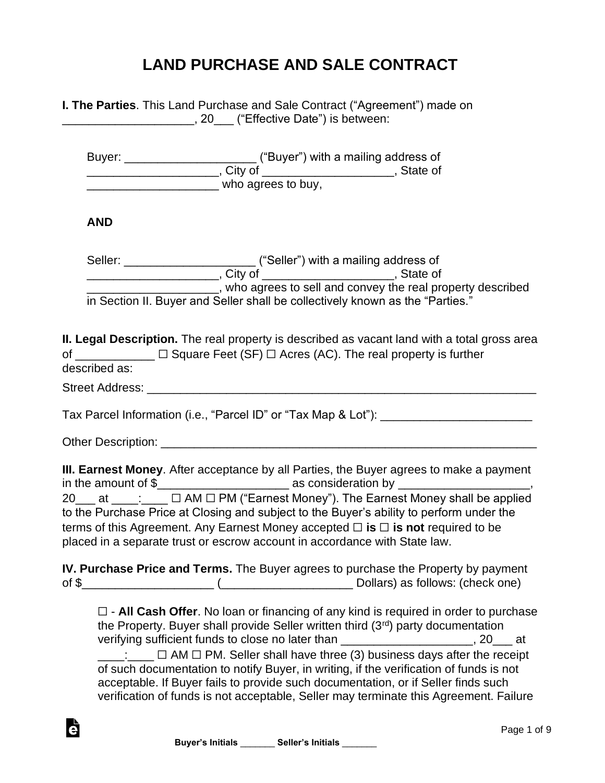## **LAND PURCHASE AND SALE CONTRACT**

|               | <b>I. The Parties</b> . This Land Purchase and Sale Contract ("Agreement") made on<br>________________________, 20___ ("Effective Date") is between:                                                                                                                                                                                                                                                                                                                                                                                                                                                                                           |  |
|---------------|------------------------------------------------------------------------------------------------------------------------------------------------------------------------------------------------------------------------------------------------------------------------------------------------------------------------------------------------------------------------------------------------------------------------------------------------------------------------------------------------------------------------------------------------------------------------------------------------------------------------------------------------|--|
|               | ______________________________ who agrees to buy,                                                                                                                                                                                                                                                                                                                                                                                                                                                                                                                                                                                              |  |
| <b>AND</b>    |                                                                                                                                                                                                                                                                                                                                                                                                                                                                                                                                                                                                                                                |  |
|               |                                                                                                                                                                                                                                                                                                                                                                                                                                                                                                                                                                                                                                                |  |
|               | _________________________, who agrees to sell and convey the real property described<br>in Section II. Buyer and Seller shall be collectively known as the "Parties."                                                                                                                                                                                                                                                                                                                                                                                                                                                                          |  |
| described as: | II. Legal Description. The real property is described as vacant land with a total gross area<br>of $\text{________}$ $\Box$ Square Feet (SF) $\Box$ Acres (AC). The real property is further                                                                                                                                                                                                                                                                                                                                                                                                                                                   |  |
|               | Tax Parcel Information (i.e., "Parcel ID" or "Tax Map & Lot"): _________________                                                                                                                                                                                                                                                                                                                                                                                                                                                                                                                                                               |  |
|               |                                                                                                                                                                                                                                                                                                                                                                                                                                                                                                                                                                                                                                                |  |
|               | III. Earnest Money. After acceptance by all Parties, the Buyer agrees to make a payment<br>20___ at ____:____ □ AM □ PM ("Earnest Money"). The Earnest Money shall be applied<br>to the Purchase Price at Closing and subject to the Buyer's ability to perform under the<br>terms of this Agreement. Any Earnest Money accepted $\Box$ is $\Box$ is not required to be<br>placed in a separate trust or escrow account in accordance with State law.                                                                                                                                                                                          |  |
|               | IV. Purchase Price and Terms. The Buyer agrees to purchase the Property by payment                                                                                                                                                                                                                                                                                                                                                                                                                                                                                                                                                             |  |
|               | $\Box$ - All Cash Offer. No loan or financing of any kind is required in order to purchase<br>the Property. Buyer shall provide Seller written third (3rd) party documentation<br>verifying sufficient funds to close no later than ______________________, 20___ at<br>$\frac{1}{2}$ $\Box$ AM $\Box$ PM. Seller shall have three (3) business days after the receipt<br>of such documentation to notify Buyer, in writing, if the verification of funds is not<br>acceptable. If Buyer fails to provide such documentation, or if Seller finds such<br>verification of funds is not acceptable, Seller may terminate this Agreement. Failure |  |
|               | Page 1 o                                                                                                                                                                                                                                                                                                                                                                                                                                                                                                                                                                                                                                       |  |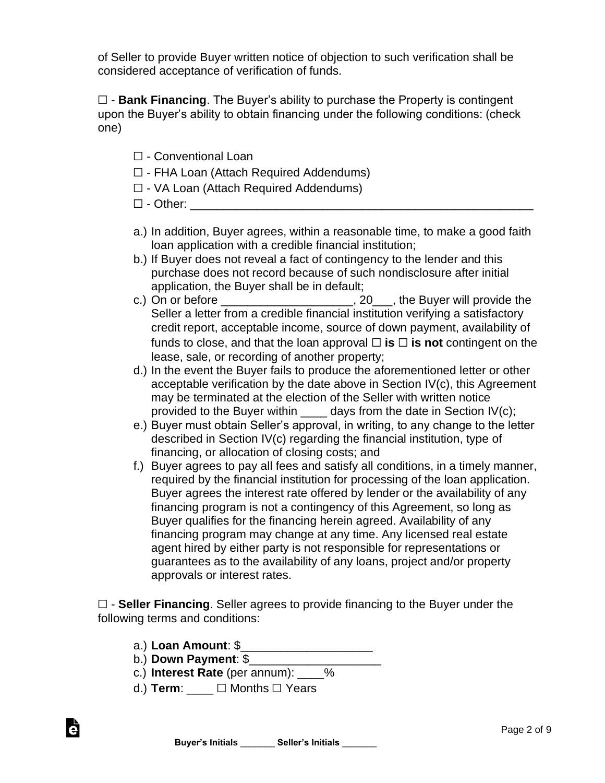of Seller to provide Buyer written notice of objection to such verification shall be considered acceptance of verification of funds.

☐ - **Bank Financing**. The Buyer's ability to purchase the Property is contingent upon the Buyer's ability to obtain financing under the following conditions: (check one)

- ☐ Conventional Loan
- ☐ FHA Loan (Attach Required Addendums)
- ☐ VA Loan (Attach Required Addendums)
- $\Box$  Other:  $\Box$
- a.) In addition, Buyer agrees, within a reasonable time, to make a good faith loan application with a credible financial institution;
- b.) If Buyer does not reveal a fact of contingency to the lender and this purchase does not record because of such nondisclosure after initial application, the Buyer shall be in default;
- c.) On or before  $\frac{1}{\sqrt{1-\frac{1}{2}}}\sqrt{1-\frac{1}{2}}$  and  $\frac{1}{\sqrt{1-\frac{1}{2}}}\sqrt{1-\frac{1}{2}}$ , the Buyer will provide the Seller a letter from a credible financial institution verifying a satisfactory credit report, acceptable income, source of down payment, availability of funds to close, and that the loan approval  $\Box$  **is**  $\Box$  **is not** contingent on the lease, sale, or recording of another property;
- d.) In the event the Buyer fails to produce the aforementioned letter or other acceptable verification by the date above in Section IV(c), this Agreement may be terminated at the election of the Seller with written notice provided to the Buyer within  $\_\_\_\_$  days from the date in Section IV(c);
- e.) Buyer must obtain Seller's approval, in writing, to any change to the letter described in Section IV(c) regarding the financial institution, type of financing, or allocation of closing costs; and
- f.) Buyer agrees to pay all fees and satisfy all conditions, in a timely manner, required by the financial institution for processing of the loan application. Buyer agrees the interest rate offered by lender or the availability of any financing program is not a contingency of this Agreement, so long as Buyer qualifies for the financing herein agreed. Availability of any financing program may change at any time. Any licensed real estate agent hired by either party is not responsible for representations or guarantees as to the availability of any loans, project and/or property approvals or interest rates.

☐ - **Seller Financing**. Seller agrees to provide financing to the Buyer under the following terms and conditions:

- a.) **Loan Amount**: \$\_\_\_\_\_\_\_\_\_\_\_\_\_\_\_\_\_\_\_\_
- b.) **Down Payment**: \$\_\_\_\_\_\_\_\_\_\_\_\_\_\_\_\_\_\_\_\_

è

- c.) **Interest Rate** (per annum): \_\_\_\_%
- d.) **Term**: \_\_\_\_ ☐ Months ☐ Years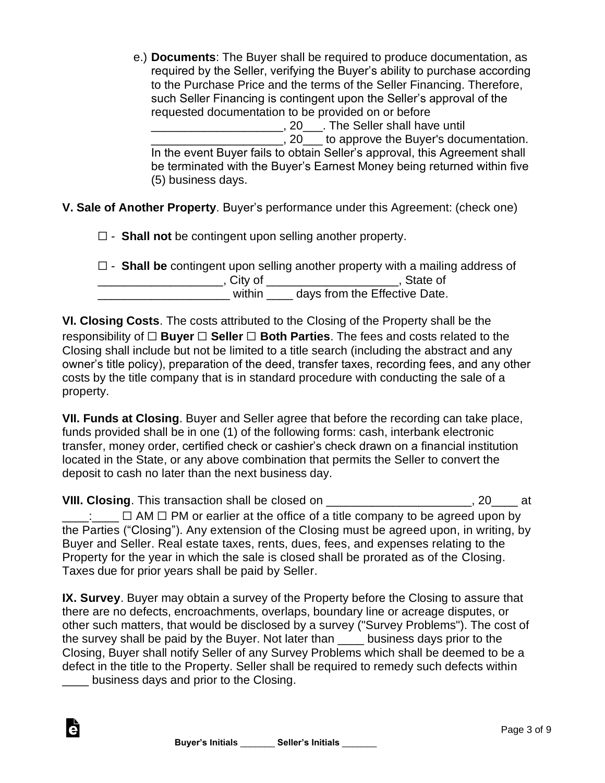e.) **Documents**: The Buyer shall be required to produce documentation, as required by the Seller, verifying the Buyer's ability to purchase according to the Purchase Price and the terms of the Seller Financing. Therefore, such Seller Financing is contingent upon the Seller's approval of the requested documentation to be provided on or before

\_\_\_\_\_\_\_\_\_\_\_\_\_\_\_\_\_\_\_\_, 20\_\_\_. The Seller shall have until **EXECUCE 10** to approve the Buyer's documentation. In the event Buyer fails to obtain Seller's approval, this Agreement shall be terminated with the Buyer's Earnest Money being returned within five (5) business days.

**V. Sale of Another Property**. Buyer's performance under this Agreement: (check one)

☐ - **Shall not** be contingent upon selling another property.

|           | $\Box$ - Shall be contingent upon selling another property with a mailing address of |
|-----------|--------------------------------------------------------------------------------------|
| . Citv of | . State of                                                                           |
| within    | days from the Effective Date.                                                        |

**VI. Closing Costs**. The costs attributed to the Closing of the Property shall be the responsibility of ☐ **Buyer** ☐ **Seller** ☐ **Both Parties**. The fees and costs related to the Closing shall include but not be limited to a title search (including the abstract and any owner's title policy), preparation of the deed, transfer taxes, recording fees, and any other costs by the title company that is in standard procedure with conducting the sale of a property.

**VII. Funds at Closing**. Buyer and Seller agree that before the recording can take place, funds provided shall be in one (1) of the following forms: cash, interbank electronic transfer, money order, certified check or cashier's check drawn on a financial institution located in the State, or any above combination that permits the Seller to convert the deposit to cash no later than the next business day.

**VIII. Closing**. This transaction shall be closed on \_\_\_\_\_\_\_\_\_\_\_\_\_\_\_\_\_\_\_\_\_\_, 20\_\_\_\_ at  $\Box$ :  $\Box$   $\Box$  AM  $\Box$  PM or earlier at the office of a title company to be agreed upon by the Parties ("Closing"). Any extension of the Closing must be agreed upon, in writing, by Buyer and Seller. Real estate taxes, rents, dues, fees, and expenses relating to the Property for the year in which the sale is closed shall be prorated as of the Closing. Taxes due for prior years shall be paid by Seller.

**IX. Survey**. Buyer may obtain a survey of the Property before the Closing to assure that there are no defects, encroachments, overlaps, boundary line or acreage disputes, or other such matters, that would be disclosed by a survey ("Survey Problems"). The cost of the survey shall be paid by the Buyer. Not later than \_\_\_\_ business days prior to the Closing, Buyer shall notify Seller of any Survey Problems which shall be deemed to be a defect in the title to the Property. Seller shall be required to remedy such defects within

\_\_\_\_ business days and prior to the Closing.

Ġ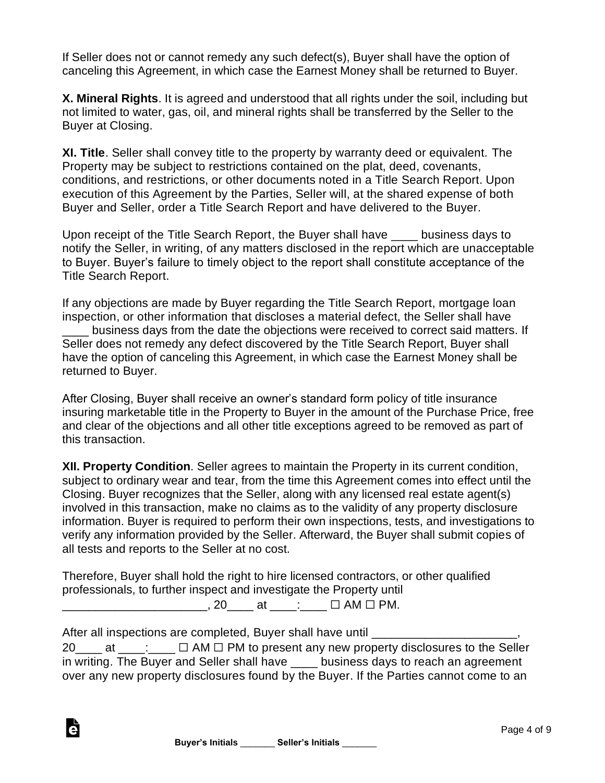If Seller does not or cannot remedy any such defect(s), Buyer shall have the option of canceling this Agreement, in which case the Earnest Money shall be returned to Buyer.

**X. Mineral Rights**. It is agreed and understood that all rights under the soil, including but not limited to water, gas, oil, and mineral rights shall be transferred by the Seller to the Buyer at Closing.

**XI. Title**. Seller shall convey title to the property by warranty deed or equivalent. The Property may be subject to restrictions contained on the plat, deed, covenants, conditions, and restrictions, or other documents noted in a Title Search Report. Upon execution of this Agreement by the Parties, Seller will, at the shared expense of both Buyer and Seller, order a Title Search Report and have delivered to the Buyer.

Upon receipt of the Title Search Report, the Buyer shall have \_\_\_\_ business days to notify the Seller, in writing, of any matters disclosed in the report which are unacceptable to Buyer. Buyer's failure to timely object to the report shall constitute acceptance of the Title Search Report.

If any objections are made by Buyer regarding the Title Search Report, mortgage loan inspection, or other information that discloses a material defect, the Seller shall have

business days from the date the objections were received to correct said matters. If Seller does not remedy any defect discovered by the Title Search Report, Buyer shall have the option of canceling this Agreement, in which case the Earnest Money shall be returned to Buyer.

After Closing, Buyer shall receive an owner's standard form policy of title insurance insuring marketable title in the Property to Buyer in the amount of the Purchase Price, free and clear of the objections and all other title exceptions agreed to be removed as part of this transaction.

**XII. Property Condition**. Seller agrees to maintain the Property in its current condition, subject to ordinary wear and tear, from the time this Agreement comes into effect until the Closing. Buyer recognizes that the Seller, along with any licensed real estate agent(s) involved in this transaction, make no claims as to the validity of any property disclosure information. Buyer is required to perform their own inspections, tests, and investigations to verify any information provided by the Seller. Afterward, the Buyer shall submit copies of all tests and reports to the Seller at no cost.

Therefore, Buyer shall hold the right to hire licensed contractors, or other qualified professionals, to further inspect and investigate the Property until  $\Box$  20 at  $\Box$  AM  $\Box$  PM.

After all inspections are completed, Buyer shall have until \_\_\_\_\_\_\_\_\_\_\_\_\_\_\_\_\_\_\_\_

è

20 at  $\Box$   $\Box$  AM  $\Box$  PM to present any new property disclosures to the Seller in writing. The Buyer and Seller shall have business days to reach an agreement over any new property disclosures found by the Buyer. If the Parties cannot come to an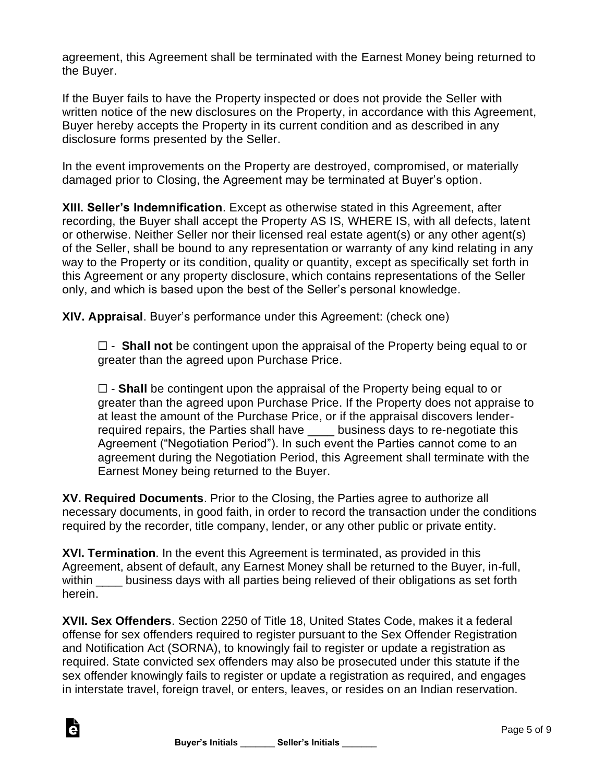agreement, this Agreement shall be terminated with the Earnest Money being returned to the Buyer.

If the Buyer fails to have the Property inspected or does not provide the Seller with written notice of the new disclosures on the Property, in accordance with this Agreement, Buyer hereby accepts the Property in its current condition and as described in any disclosure forms presented by the Seller.

In the event improvements on the Property are destroyed, compromised, or materially damaged prior to Closing, the Agreement may be terminated at Buyer's option.

**XIII. Seller's Indemnification**. Except as otherwise stated in this Agreement, after recording, the Buyer shall accept the Property AS IS, WHERE IS, with all defects, latent or otherwise. Neither Seller nor their licensed real estate agent(s) or any other agent(s) of the Seller, shall be bound to any representation or warranty of any kind relating in any way to the Property or its condition, quality or quantity, except as specifically set forth in this Agreement or any property disclosure, which contains representations of the Seller only, and which is based upon the best of the Seller's personal knowledge.

**XIV. Appraisal**. Buyer's performance under this Agreement: (check one)

☐ - **Shall not** be contingent upon the appraisal of the Property being equal to or greater than the agreed upon Purchase Price.

☐ - **Shall** be contingent upon the appraisal of the Property being equal to or greater than the agreed upon Purchase Price. If the Property does not appraise to at least the amount of the Purchase Price, or if the appraisal discovers lenderrequired repairs, the Parties shall have \_\_\_\_ business days to re-negotiate this Agreement ("Negotiation Period"). In such event the Parties cannot come to an agreement during the Negotiation Period, this Agreement shall terminate with the Earnest Money being returned to the Buyer.

**XV. Required Documents**. Prior to the Closing, the Parties agree to authorize all necessary documents, in good faith, in order to record the transaction under the conditions required by the recorder, title company, lender, or any other public or private entity.

**XVI. Termination**. In the event this Agreement is terminated, as provided in this Agreement, absent of default, any Earnest Money shall be returned to the Buyer, in-full, within \_\_\_\_ business days with all parties being relieved of their obligations as set forth herein.

**XVII. Sex Offenders**. Section 2250 of Title 18, United States Code, makes it a federal offense for sex offenders required to register pursuant to the Sex Offender Registration and Notification Act (SORNA), to knowingly fail to register or update a registration as required. State convicted sex offenders may also be prosecuted under this statute if the sex offender knowingly fails to register or update a registration as required, and engages in interstate travel, foreign travel, or enters, leaves, or resides on an Indian reservation.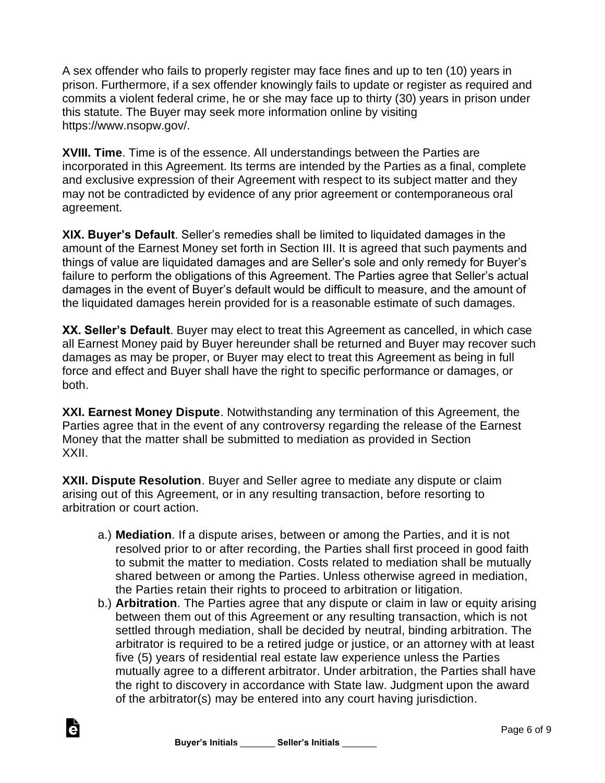A sex offender who fails to properly register may face fines and up to ten (10) years in prison. Furthermore, if a sex offender knowingly fails to update or register as required and commits a violent federal crime, he or she may face up to thirty (30) years in prison under this statute. The Buyer may seek more information online by visiting https://www.nsopw.gov/.

**XVIII. Time**. Time is of the essence. All understandings between the Parties are incorporated in this Agreement. Its terms are intended by the Parties as a final, complete and exclusive expression of their Agreement with respect to its subject matter and they may not be contradicted by evidence of any prior agreement or contemporaneous oral agreement.

**XIX. Buyer's Default**. Seller's remedies shall be limited to liquidated damages in the amount of the Earnest Money set forth in Section III. It is agreed that such payments and things of value are liquidated damages and are Seller's sole and only remedy for Buyer's failure to perform the obligations of this Agreement. The Parties agree that Seller's actual damages in the event of Buyer's default would be difficult to measure, and the amount of the liquidated damages herein provided for is a reasonable estimate of such damages.

**XX. Seller's Default**. Buyer may elect to treat this Agreement as cancelled, in which case all Earnest Money paid by Buyer hereunder shall be returned and Buyer may recover such damages as may be proper, or Buyer may elect to treat this Agreement as being in full force and effect and Buyer shall have the right to specific performance or damages, or both.

**XXI. Earnest Money Dispute**. Notwithstanding any termination of this Agreement, the Parties agree that in the event of any controversy regarding the release of the Earnest Money that the matter shall be submitted to mediation as provided in Section XXII.

**XXII. Dispute Resolution**. Buyer and Seller agree to mediate any dispute or claim arising out of this Agreement, or in any resulting transaction, before resorting to arbitration or court action.

- a.) **Mediation**. If a dispute arises, between or among the Parties, and it is not resolved prior to or after recording, the Parties shall first proceed in good faith to submit the matter to mediation. Costs related to mediation shall be mutually shared between or among the Parties. Unless otherwise agreed in mediation, the Parties retain their rights to proceed to arbitration or litigation.
- b.) **Arbitration**. The Parties agree that any dispute or claim in law or equity arising between them out of this Agreement or any resulting transaction, which is not settled through mediation, shall be decided by neutral, binding arbitration. The arbitrator is required to be a retired judge or justice, or an attorney with at least five (5) years of residential real estate law experience unless the Parties mutually agree to a different arbitrator. Under arbitration, the Parties shall have the right to discovery in accordance with State law. Judgment upon the award of the arbitrator(s) may be entered into any court having jurisdiction.



Ġ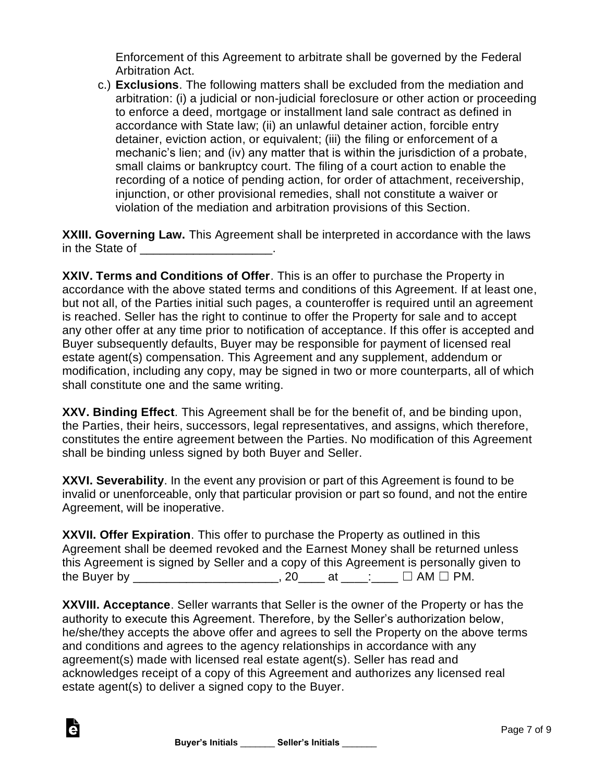Enforcement of this Agreement to arbitrate shall be governed by the Federal Arbitration Act.

c.) **Exclusions**. The following matters shall be excluded from the mediation and arbitration: (i) a judicial or non-judicial foreclosure or other action or proceeding to enforce a deed, mortgage or installment land sale contract as defined in accordance with State law; (ii) an unlawful detainer action, forcible entry detainer, eviction action, or equivalent; (iii) the filing or enforcement of a mechanic's lien; and (iv) any matter that is within the jurisdiction of a probate, small claims or bankruptcy court. The filing of a court action to enable the recording of a notice of pending action, for order of attachment, receivership, injunction, or other provisional remedies, shall not constitute a waiver or violation of the mediation and arbitration provisions of this Section.

**XXIII. Governing Law.** This Agreement shall be interpreted in accordance with the laws in the State of **Example 20** in the State of

**XXIV. Terms and Conditions of Offer**. This is an offer to purchase the Property in accordance with the above stated terms and conditions of this Agreement. If at least one, but not all, of the Parties initial such pages, a counteroffer is required until an agreement is reached. Seller has the right to continue to offer the Property for sale and to accept any other offer at any time prior to notification of acceptance. If this offer is accepted and Buyer subsequently defaults, Buyer may be responsible for payment of licensed real estate agent(s) compensation. This Agreement and any supplement, addendum or modification, including any copy, may be signed in two or more counterparts, all of which shall constitute one and the same writing.

**XXV. Binding Effect**. This Agreement shall be for the benefit of, and be binding upon, the Parties, their heirs, successors, legal representatives, and assigns, which therefore, constitutes the entire agreement between the Parties. No modification of this Agreement shall be binding unless signed by both Buyer and Seller.

**XXVI. Severability**. In the event any provision or part of this Agreement is found to be invalid or unenforceable, only that particular provision or part so found, and not the entire Agreement, will be inoperative.

| XXVII. Offer Expiration. This offer to purchase the Property as outlined in this       |      |            |                      |  |
|----------------------------------------------------------------------------------------|------|------------|----------------------|--|
| Agreement shall be deemed revoked and the Earnest Money shall be returned unless       |      |            |                      |  |
| this Agreement is signed by Seller and a copy of this Agreement is personally given to |      |            |                      |  |
| the Buyer by                                                                           | . 20 | at _____._ | $\Box$ AM $\Box$ PM. |  |

**XXVIII. Acceptance**. Seller warrants that Seller is the owner of the Property or has the authority to execute this Agreement. Therefore, by the Seller's authorization below, he/she/they accepts the above offer and agrees to sell the Property on the above terms and conditions and agrees to the agency relationships in accordance with any agreement(s) made with licensed real estate agent(s). Seller has read and acknowledges receipt of a copy of this Agreement and authorizes any licensed real estate agent(s) to deliver a signed copy to the Buyer.

è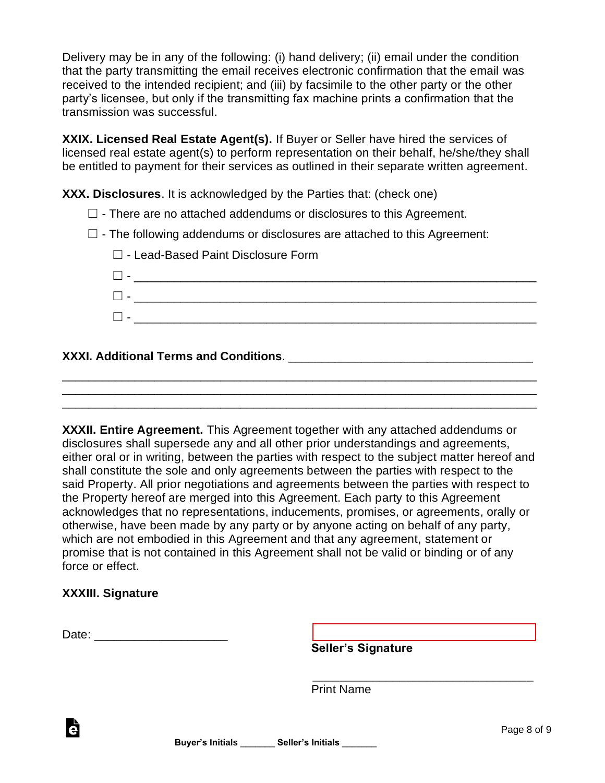Delivery may be in any of the following: (i) hand delivery; (ii) email under the condition that the party transmitting the email receives electronic confirmation that the email was received to the intended recipient; and (iii) by facsimile to the other party or the other party's licensee, but only if the transmitting fax machine prints a confirmation that the transmission was successful.

**XXIX. Licensed Real Estate Agent(s).** If Buyer or Seller have hired the services of licensed real estate agent(s) to perform representation on their behalf, he/she/they shall be entitled to payment for their services as outlined in their separate written agreement.

**XXX. Disclosures**. It is acknowledged by the Parties that: (check one)

- $\Box$  There are no attached addendums or disclosures to this Agreement.
- $\square$  The following addendums or disclosures are attached to this Agreement:

| $\Box$ - Lead-Based Paint Disclosure Form |  |
|-------------------------------------------|--|
| $\mathbf{L}$                              |  |
|                                           |  |
|                                           |  |
|                                           |  |

## **XXXI. Additional Terms and Conditions**. \_\_\_\_\_\_\_\_\_\_\_\_\_\_\_\_\_\_\_\_\_\_\_\_\_\_\_\_\_\_\_\_\_\_\_\_\_

**XXXII. Entire Agreement.** This Agreement together with any attached addendums or disclosures shall supersede any and all other prior understandings and agreements, either oral or in writing, between the parties with respect to the subject matter hereof and shall constitute the sole and only agreements between the parties with respect to the said Property. All prior negotiations and agreements between the parties with respect to the Property hereof are merged into this Agreement. Each party to this Agreement acknowledges that no representations, inducements, promises, or agreements, orally or otherwise, have been made by any party or by anyone acting on behalf of any party, which are not embodied in this Agreement and that any agreement, statement or promise that is not contained in this Agreement shall not be valid or binding or of any force or effect.

\_\_\_\_\_\_\_\_\_\_\_\_\_\_\_\_\_\_\_\_\_\_\_\_\_\_\_\_\_\_\_\_\_\_\_\_\_\_\_\_\_\_\_\_\_\_\_\_\_\_\_\_\_\_\_\_\_\_\_\_\_\_\_\_\_\_\_\_\_\_\_\_ \_\_\_\_\_\_\_\_\_\_\_\_\_\_\_\_\_\_\_\_\_\_\_\_\_\_\_\_\_\_\_\_\_\_\_\_\_\_\_\_\_\_\_\_\_\_\_\_\_\_\_\_\_\_\_\_\_\_\_\_\_\_\_\_\_\_\_\_\_\_\_\_ \_\_\_\_\_\_\_\_\_\_\_\_\_\_\_\_\_\_\_\_\_\_\_\_\_\_\_\_\_\_\_\_\_\_\_\_\_\_\_\_\_\_\_\_\_\_\_\_\_\_\_\_\_\_\_\_\_\_\_\_\_\_\_\_\_\_\_\_\_\_\_\_

## **XXXIII. Signature**

Ġ

| -<br>'ate<br>Dalu.<br>___ |  |
|---------------------------|--|
|                           |  |

**Seller's Signature**

 \_\_\_\_\_\_\_\_\_\_\_\_\_\_\_\_\_\_\_\_\_\_\_\_\_\_\_\_\_\_\_\_\_ Print Name